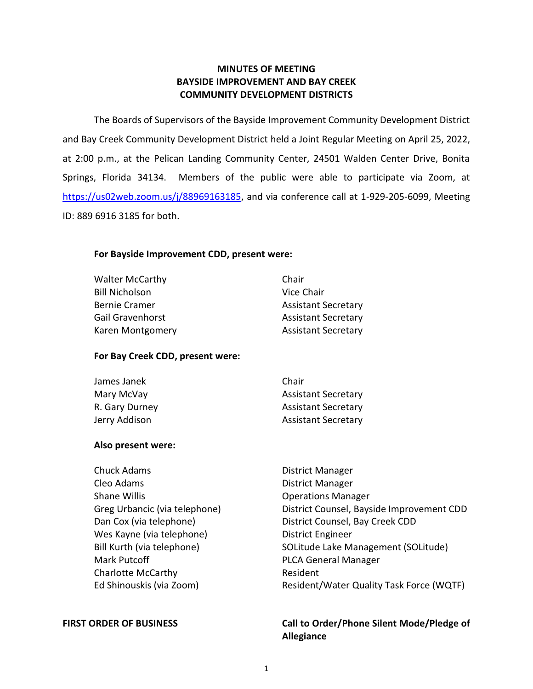# **MINUTES OF MEETING BAYSIDE IMPROVEMENT AND BAY CREEK COMMUNITY DEVELOPMENT DISTRICTS**

 The Boards of Supervisors of the Bayside Improvement Community Development District at 2:00 p.m., at the Pelican Landing Community Center, 24501 Walden Center Drive, Bonita Springs, Florida 34134. Members of the public were able to participate via Zoom, at ID: 889 6916 3185 for both. and Bay Creek Community Development District held a Joint Regular Meeting on April 25, 2022, [https://us02web.zoom.us/j/88969163185,](https://us02web.zoom.us/j/88969163185) and via conference call at 1-929-205-6099, Meeting

# **For Bayside Improvement CDD, present were:**

| <b>Walter McCarthy</b> | Chair                      |
|------------------------|----------------------------|
| <b>Bill Nicholson</b>  | Vice Chair                 |
| Bernie Cramer          | <b>Assistant Secretary</b> |
| Gail Gravenhorst       | <b>Assistant Secretary</b> |
| Karen Montgomery       | <b>Assistant Secretary</b> |
|                        |                            |

# **For Bay Creek CDD, present were:**

| James Janek    | Chair                      |
|----------------|----------------------------|
| Mary McVay     | <b>Assistant Secretary</b> |
| R. Gary Durney | <b>Assistant Secretary</b> |
| Jerry Addison  | <b>Assistant Secretary</b> |

## **Also present were:**

| Chuck Adams                   | District Manager                          |
|-------------------------------|-------------------------------------------|
| Cleo Adams                    | District Manager                          |
| <b>Shane Willis</b>           | <b>Operations Manager</b>                 |
| Greg Urbancic (via telephone) | District Counsel, Bayside Improvement CDD |
| Dan Cox (via telephone)       | District Counsel, Bay Creek CDD           |
| Wes Kayne (via telephone)     | District Engineer                         |
| Bill Kurth (via telephone)    | SOLitude Lake Management (SOLitude)       |
| Mark Putcoff                  | <b>PLCA General Manager</b>               |
| <b>Charlotte McCarthy</b>     | Resident                                  |
| Ed Shinouskis (via Zoom)      | Resident/Water Quality Task Force (WQTF)  |
|                               |                                           |

## FIRST ORDER OF BUSINESS **The Call to Order/Phone Silent Mode/Pledge of Allegiance**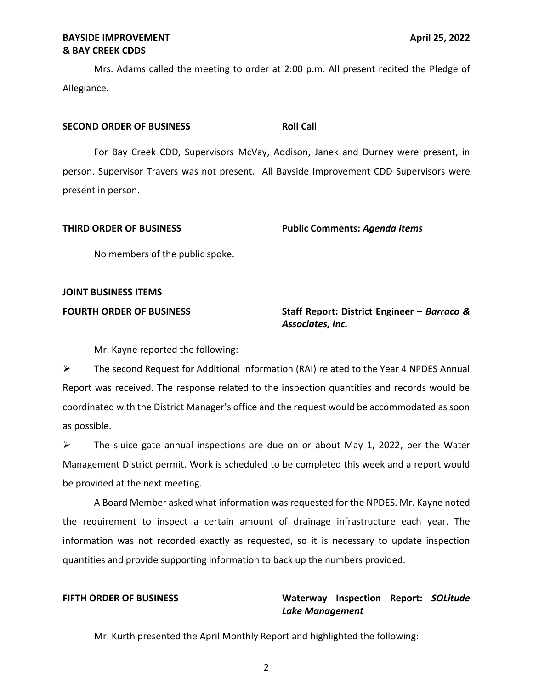Mrs. Adams called the meeting to order at 2:00 p.m. All present recited the Pledge of Allegiance.

### **SECOND ORDER OF BUSINESS ROLL CALL**

 For Bay Creek CDD, Supervisors McVay, Addison, Janek and Durney were present, in person. Supervisor Travers was not present. All Bayside Improvement CDD Supervisors were present in person.

 **THIRD ORDER OF BUSINESS Public Comments:** *Agenda Items* 

No members of the public spoke.

# **JOINT BUSINESS ITEMS**

# **FOURTH ORDER OF BUSINESS** Staff Report: District Engineer – *Barraco & Associates, Inc.*

Mr. Kayne reported the following:

 ➢ The second Request for Additional Information (RAI) related to the Year 4 NPDES Annual Report was received. The response related to the inspection quantities and records would be coordinated with the District Manager's office and the request would be accommodated as soon as possible.

 $\triangleright$  The sluice gate annual inspections are due on or about May 1, 2022, per the Water Management District permit. Work is scheduled to be completed this week and a report would be provided at the next meeting.

 the requirement to inspect a certain amount of drainage infrastructure each year. The information was not recorded exactly as requested, so it is necessary to update inspection quantities and provide supporting information to back up the numbers provided. A Board Member asked what information was requested for the NPDES. Mr. Kayne noted

# **FIFTH ORDER OF BUSINESS Waterway Inspection Report:** *SOLitude Lake Management*

Mr. Kurth presented the April Monthly Report and highlighted the following: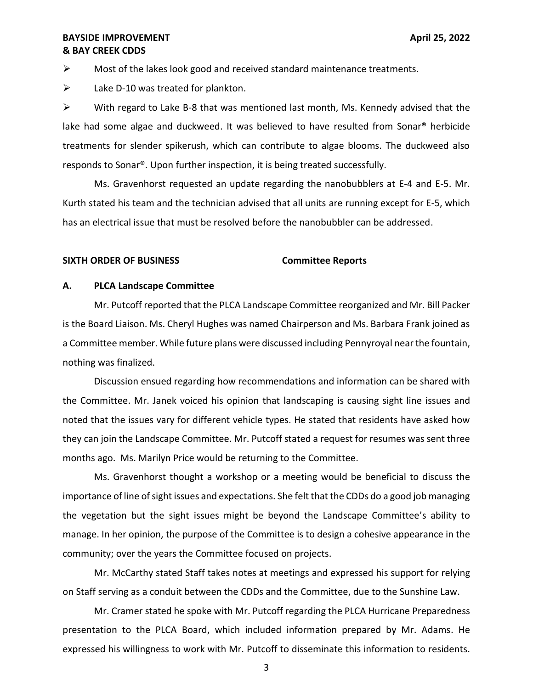$\triangleright$  Most of the lakes look good and received standard maintenance treatments.

 $\triangleright$  Lake D-10 was treated for plankton.

 $\triangleright$  With regard to Lake B-8 that was mentioned last month, Ms. Kennedy advised that the lake had some algae and duckweed. It was believed to have resulted from Sonar® herbicide treatments for slender spikerush, which can contribute to algae blooms. The duckweed also responds to Sonar®. Upon further inspection, it is being treated successfully.

 Ms. Gravenhorst requested an update regarding the nanobubblers at E-4 and E-5. Mr. Kurth stated his team and the technician advised that all units are running except for E-5, which has an electrical issue that must be resolved before the nanobubbler can be addressed.

### **SIXTH ORDER OF BUSINESS Committee Reports**

### **A. PLCA Landscape Committee**

 Mr. Putcoff reported that the PLCA Landscape Committee reorganized and Mr. Bill Packer is the Board Liaison. Ms. Cheryl Hughes was named Chairperson and Ms. Barbara Frank joined as a Committee member. While future plans were discussed including Pennyroyal near the fountain, nothing was finalized.

 Discussion ensued regarding how recommendations and information can be shared with the Committee. Mr. Janek voiced his opinion that landscaping is causing sight line issues and noted that the issues vary for different vehicle types. He stated that residents have asked how they can join the Landscape Committee. Mr. Putcoff stated a request for resumes was sent three months ago. Ms. Marilyn Price would be returning to the Committee.

 Ms. Gravenhorst thought a workshop or a meeting would be beneficial to discuss the importance of line of sight issues and expectations. She felt that the CDDs do a good job managing the vegetation but the sight issues might be beyond the Landscape Committee's ability to manage. In her opinion, the purpose of the Committee is to design a cohesive appearance in the community; over the years the Committee focused on projects.

 Mr. McCarthy stated Staff takes notes at meetings and expressed his support for relying on Staff serving as a conduit between the CDDs and the Committee, due to the Sunshine Law.

 Mr. Cramer stated he spoke with Mr. Putcoff regarding the PLCA Hurricane Preparedness presentation to the PLCA Board, which included information prepared by Mr. Adams. He expressed his willingness to work with Mr. Putcoff to disseminate this information to residents.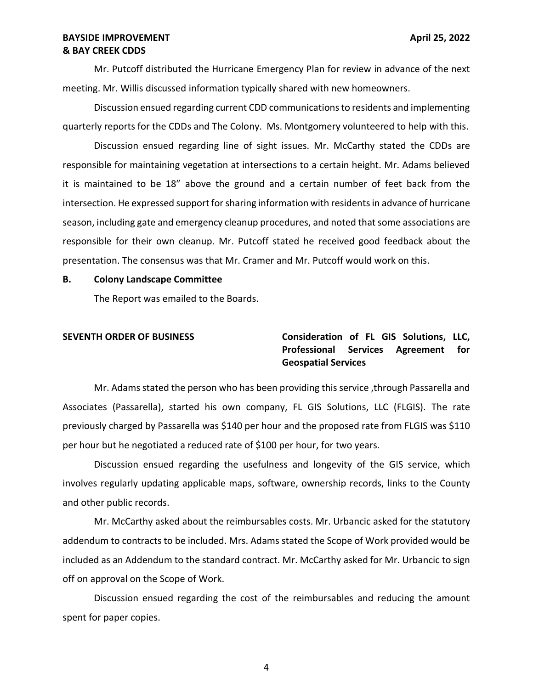Mr. Putcoff distributed the Hurricane Emergency Plan for review in advance of the next meeting. Mr. Willis discussed information typically shared with new homeowners.

 Discussion ensued regarding current CDD communications to residents and implementing quarterly reports for the CDDs and The Colony. Ms. Montgomery volunteered to help with this.

 Discussion ensued regarding line of sight issues. Mr. McCarthy stated the CDDs are responsible for maintaining vegetation at intersections to a certain height. Mr. Adams believed it is maintained to be 18" above the ground and a certain number of feet back from the intersection. He expressed support for sharing information with residents in advance of hurricane season, including gate and emergency cleanup procedures, and noted that some associations are responsible for their own cleanup. Mr. Putcoff stated he received good feedback about the presentation. The consensus was that Mr. Cramer and Mr. Putcoff would work on this.

### **B. Colony Landscape Committee**

The Report was emailed to the Boards.

# **SEVENTH ORDER OF BUSINESS Consideration of FL GIS Solutions, LLC, Professional Services Agreement for Geospatial Services**

 Mr. Adams stated the person who has been providing this service ,through Passarella and Associates (Passarella), started his own company, FL GIS Solutions, LLC (FLGIS). The rate previously charged by Passarella was \$140 per hour and the proposed rate from FLGIS was \$110 per hour but he negotiated a reduced rate of \$100 per hour, for two years.

 Discussion ensued regarding the usefulness and longevity of the GIS service, which and other public records. involves regularly updating applicable maps, software, ownership records, links to the County

 addendum to contracts to be included. Mrs. Adams stated the Scope of Work provided would be included as an Addendum to the standard contract. Mr. McCarthy asked for Mr. Urbancic to sign Mr. McCarthy asked about the reimbursables costs. Mr. Urbancic asked for the statutory off on approval on the Scope of Work.

 Discussion ensued regarding the cost of the reimbursables and reducing the amount spent for paper copies.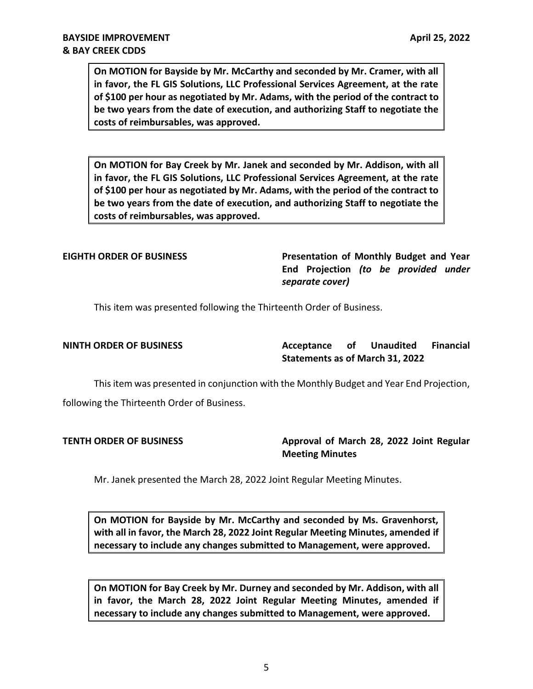**On MOTION for Bayside by Mr. McCarthy and seconded by Mr. Cramer, with all in favor, the FL GIS Solutions, LLC Professional Services Agreement, at the rate of \$100 per hour as negotiated by Mr. Adams, with the period of the contract to be two years from the date of execution, and authorizing Staff to negotiate the costs of reimbursables, was approved.** 

 **On MOTION for Bay Creek by Mr. Janek and seconded by Mr. Addison, with all in favor, the FL GIS Solutions, LLC Professional Services Agreement, at the rate of \$100 per hour as negotiated by Mr. Adams, with the period of the contract to be two years from the date of execution, and authorizing Staff to negotiate the**  costs of reimbursables, was approved. **costs of reimbursables, was approved.** <br>EIGHTH ORDER OF BUSINESS Presentation of Monthly Budget and Year **Presentation of Monthly Budget** and Year

### **EIGHTH ORDER OF BUSINESS**

 **End Projection** *(to be provided under separate cover)* 

This item was presented following the Thirteenth Order of Business.

**Acceptance Statements as of March 31, 2022 NINTH ORDER OF BUSINESS Acceptance of Unaudited Financial** 

 This item was presented in conjunction with the Monthly Budget and Year End Projection, following the Thirteenth Order of Business.

**TENTH ORDER OF BUSINESS** 

Approval of March 28, 2022 Joint Regular **Meeting Minutes** 

Mr. Janek presented the March 28, 2022 Joint Regular Meeting Minutes.

 **On MOTION for Bayside by Mr. McCarthy and seconded by Ms. Gravenhorst, with all in favor, the March 28, 2022 Joint Regular Meeting Minutes, amended if necessary to include any changes submitted to Management, were approved.** 

 **On MOTION for Bay Creek by Mr. Durney and seconded by Mr. Addison, with all in favor, the March 28, 2022 Joint Regular Meeting Minutes, amended if necessary to include any changes submitted to Management, were approved.**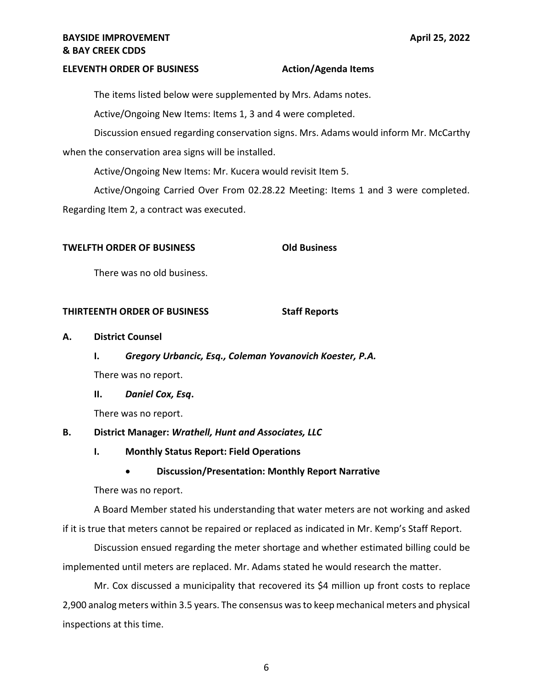### **ELEVENTH ORDER OF BUSINESS Action/Agenda Items**

The items listed below were supplemented by Mrs. Adams notes.

Active/Ongoing New Items: Items 1, 3 and 4 were completed.

 Discussion ensued regarding conservation signs. Mrs. Adams would inform Mr. McCarthy when the conservation area signs will be installed.

Active/Ongoing New Items: Mr. Kucera would revisit Item 5.

 Active/Ongoing Carried Over From [02.28.22](https://02.28.22) Meeting: Items 1 and 3 were completed. Regarding Item 2, a contract was executed.

# **TWELFTH ORDER OF BUSINESS Old Business**

There was no old business.

### **THIRTEENTH ORDER OF BUSINESS Staff Reports**

### **A. District Counsel**

**I.** *Gregory Urbancic, Esq., Coleman Yovanovich Koester, P.A.* 

There was no report.

 **II.** *Daniel Cox, Esq***.** 

There was no report.

# **B. District Manager:** *Wrathell, Hunt and Associates, LLC*

## **I. Monthly Status Report: Field Operations**

# • **Discussion/Presentation: Monthly Report Narrative**

There was no report.

 A Board Member stated his understanding that water meters are not working and asked if it is true that meters cannot be repaired or replaced as indicated in Mr. Kemp's Staff Report.

 Discussion ensued regarding the meter shortage and whether estimated billing could be implemented until meters are replaced. Mr. Adams stated he would research the matter.

 Mr. Cox discussed a municipality that recovered its \$4 million up front costs to replace 2,900 analog meters within 3.5 years. The consensus was to keep mechanical meters and physical inspections at this time.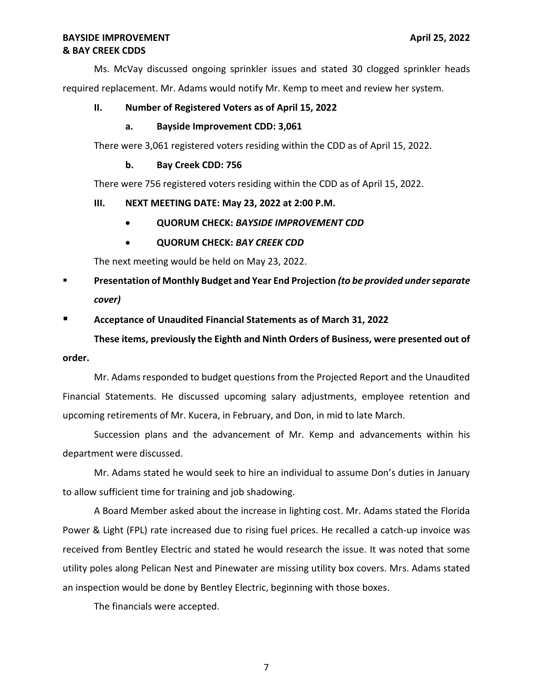Ms. McVay discussed ongoing sprinkler issues and stated 30 clogged sprinkler heads required replacement. Mr. Adams would notify Mr. Kemp to meet and review her system.

# **II. Number of Registered Voters as of April 15, 2022**

### **a. Bayside Improvement CDD: 3,061**

There were 3,061 registered voters residing within the CDD as of April 15, 2022.

## **b. Bay Creek CDD: 756**

There were 756 registered voters residing within the CDD as of April 15, 2022.

# **III. NEXT MEETING DATE: May 23, 2022 at 2:00 P.M.**

- **QUORUM CHECK:** *BAYSIDE IMPROVEMENT CDD*
- **QUORUM CHECK:** *BAY CREEK CDD*

The next meeting would be held on May 23, 2022.

 ▪ **Presentation of Monthly Budget and Year End Projection** *(to be provided under separate cover)* 

# ■ Acceptance of Unaudited Financial Statements as of March 31, 2022

 **These items, previously the Eighth and Ninth Orders of Business, were presented out of order.** 

 Mr. Adams responded to budget questions from the Projected Report and the Unaudited upcoming retirements of Mr. Kucera, in February, and Don, in mid to late March. Financial Statements. He discussed upcoming salary adjustments, employee retention and

 Succession plans and the advancement of Mr. Kemp and advancements within his department were discussed.

 Mr. Adams stated he would seek to hire an individual to assume Don's duties in January to allow sufficient time for training and job shadowing.

 A Board Member asked about the increase in lighting cost. Mr. Adams stated the Florida Power & Light (FPL) rate increased due to rising fuel prices. He recalled a catch-up invoice was received from Bentley Electric and stated he would research the issue. It was noted that some utility poles along Pelican Nest and Pinewater are missing utility box covers. Mrs. Adams stated an inspection would be done by Bentley Electric, beginning with those boxes.

The financials were accepted.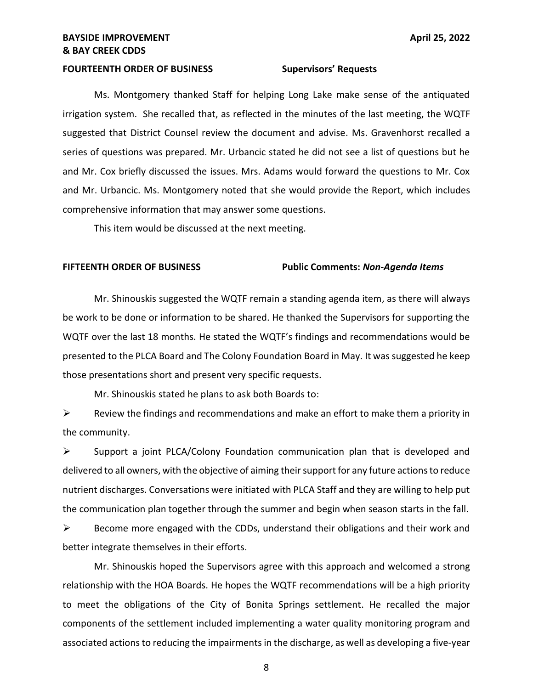### **FOURTEENTH ORDER OF BUSINESS Supervisors' Requests**

 Ms. Montgomery thanked Staff for helping Long Lake make sense of the antiquated irrigation system. She recalled that, as reflected in the minutes of the last meeting, the WQTF suggested that District Counsel review the document and advise. Ms. Gravenhorst recalled a series of questions was prepared. Mr. Urbancic stated he did not see a list of questions but he and Mr. Cox briefly discussed the issues. Mrs. Adams would forward the questions to Mr. Cox and Mr. Urbancic. Ms. Montgomery noted that she would provide the Report, which includes comprehensive information that may answer some questions.

This item would be discussed at the next meeting.

### **FIFTEENTH ORDER OF BUSINESS Public Comments:** *Non-Agenda Items*

 Mr. Shinouskis suggested the WQTF remain a standing agenda item, as there will always be work to be done or information to be shared. He thanked the Supervisors for supporting the WQTF over the last 18 months. He stated the WQTF's findings and recommendations would be presented to the PLCA Board and The Colony Foundation Board in May. It was suggested he keep those presentations short and present very specific requests.

Mr. Shinouskis stated he plans to ask both Boards to:

 $\triangleright$  Review the findings and recommendations and make an effort to make them a priority in the community.

 ➢ Support a joint PLCA/Colony Foundation communication plan that is developed and delivered to all owners, with the objective of aiming their support for any future actions to reduce nutrient discharges. Conversations were initiated with PLCA Staff and they are willing to help put the communication plan together through the summer and begin when season starts in the fall.

 $\triangleright$  Become more engaged with the CDDs, understand their obligations and their work and better integrate themselves in their efforts.

better integrate themselves in their efforts.<br>Mr. Shinouskis hoped the Supervisors agree with this approach and welcomed a strong relationship with the HOA Boards. He hopes the WQTF recommendations will be a high priority to meet the obligations of the City of Bonita Springs settlement. He recalled the major associated actions to reducing the impairments in the discharge, as well as developing a five-year components of the settlement included implementing a water quality monitoring program and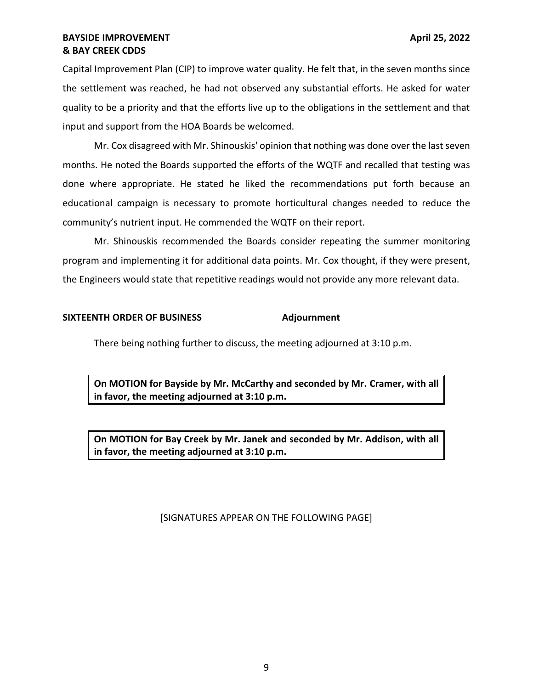# **& BAY CREEK CDDS BAYSIDE IMPROVEMENT BAYSIDE IMPROVEMENT**

 Capital Improvement Plan (CIP) to improve water quality. He felt that, in the seven months since the settlement was reached, he had not observed any substantial efforts. He asked for water quality to be a priority and that the efforts live up to the obligations in the settlement and that input and support from the HOA Boards be welcomed.

 Mr. Cox disagreed with Mr. Shinouskis' opinion that nothing was done over the last seven months. He noted the Boards supported the efforts of the WQTF and recalled that testing was done where appropriate. He stated he liked the recommendations put forth because an educational campaign is necessary to promote horticultural changes needed to reduce the community's nutrient input. He commended the WQTF on their report.

 Mr. Shinouskis recommended the Boards consider repeating the summer monitoring program and implementing it for additional data points. Mr. Cox thought, if they were present, the Engineers would state that repetitive readings would not provide any more relevant data.

## **SIXTEENTH ORDER OF BUSINESS Adjournment**

There being nothing further to discuss, the meeting adjourned at 3:10 p.m.

 **On MOTION for Bayside by Mr. McCarthy and seconded by Mr. Cramer, with all in favor, the meeting adjourned at 3:10 p.m.** 

 **On MOTION for Bay Creek by Mr. Janek and seconded by Mr. Addison, with all in favor, the meeting adjourned at 3:10 p.m.** 

## [SIGNATURES APPEAR ON THE FOLLOWING PAGE]